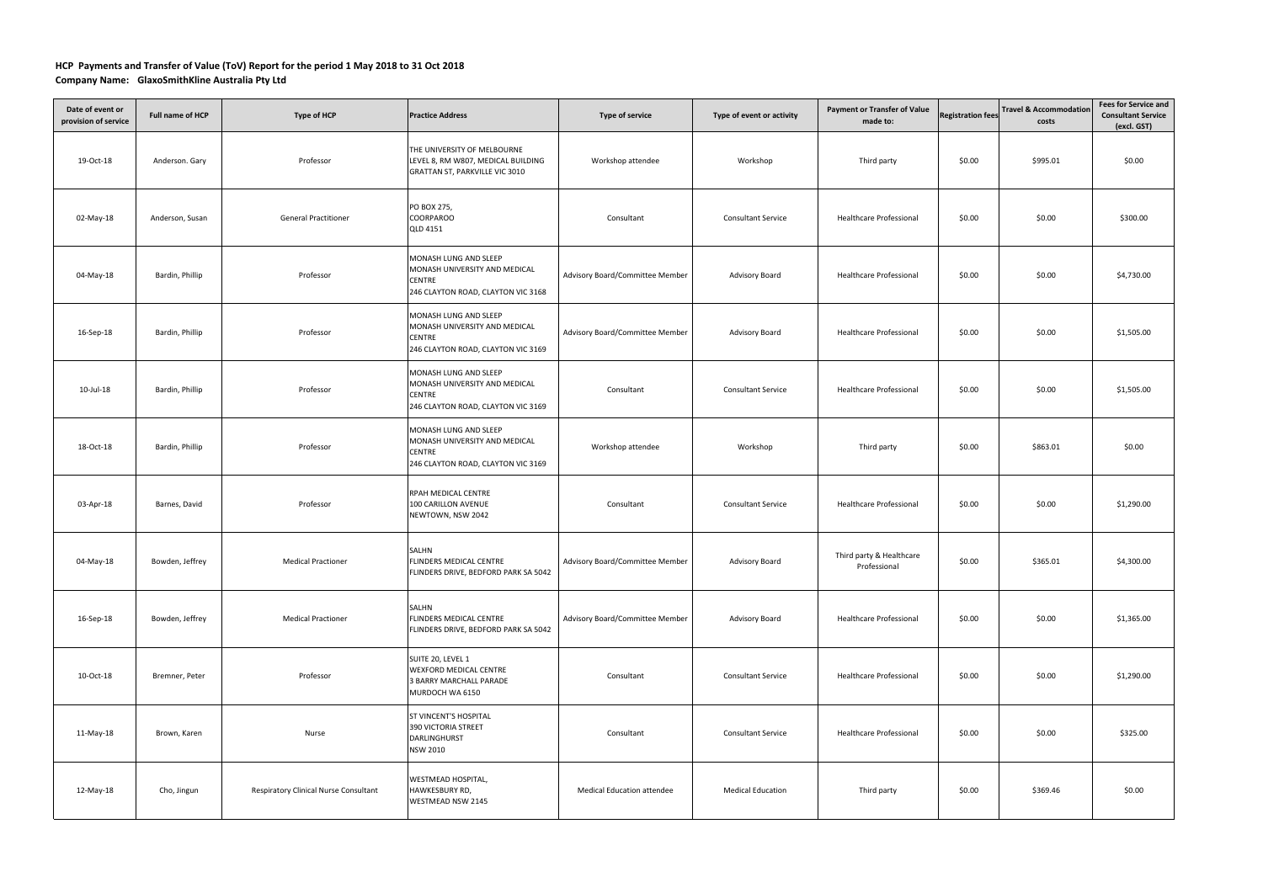## **HCP Payments and Transfer of Value (ToV) Report for the period 1 May 2018 to 31 Oct 2018**

## **Company Name: GlaxoSmithKline Australia Pty Ltd**

| Date of event or<br>provision of service | Full name of HCP | <b>Type of HCP</b>                    | <b>Practice Address</b>                                                                                       | Type of service                   | Type of event or activity | <b>Payment or Transfer of Value</b><br>made to: | <b>Registration fees</b> | <b>Travel &amp; Accommodation</b><br>costs | <b>Fees for Service and</b><br><b>Consultant Service</b><br>(excl. GST) |
|------------------------------------------|------------------|---------------------------------------|---------------------------------------------------------------------------------------------------------------|-----------------------------------|---------------------------|-------------------------------------------------|--------------------------|--------------------------------------------|-------------------------------------------------------------------------|
| 19-Oct-18                                | Anderson. Gary   | Professor                             | THE UNIVERSITY OF MELBOURNE<br>LEVEL 8, RM W807, MEDICAL BUILDING<br>GRATTAN ST, PARKVILLE VIC 3010           | Workshop attendee                 | Workshop                  | Third party                                     | \$0.00                   | \$995.01                                   | \$0.00                                                                  |
| 02-May-18                                | Anderson, Susan  | <b>General Practitioner</b>           | PO BOX 275,<br>COORPAROO<br><b>QLD 4151</b>                                                                   | Consultant                        | <b>Consultant Service</b> | Healthcare Professional                         | \$0.00                   | \$0.00                                     | \$300.00                                                                |
| 04-May-18                                | Bardin, Phillip  | Professor                             | MONASH LUNG AND SLEEP<br>MONASH UNIVERSITY AND MEDICAL<br><b>CENTRE</b><br>246 CLAYTON ROAD, CLAYTON VIC 3168 | Advisory Board/Committee Member   | <b>Advisory Board</b>     | <b>Healthcare Professional</b>                  | \$0.00                   | \$0.00                                     | \$4,730.00                                                              |
| 16-Sep-18                                | Bardin, Phillip  | Professor                             | MONASH LUNG AND SLEEP<br>MONASH UNIVERSITY AND MEDICAL<br><b>CENTRE</b><br>246 CLAYTON ROAD, CLAYTON VIC 3169 | Advisory Board/Committee Member   | Advisory Board            | <b>Healthcare Professional</b>                  | \$0.00                   | \$0.00                                     | \$1,505.00                                                              |
| 10-Jul-18                                | Bardin, Phillip  | Professor                             | MONASH LUNG AND SLEEP<br>MONASH UNIVERSITY AND MEDICAL<br><b>CENTRE</b><br>246 CLAYTON ROAD, CLAYTON VIC 3169 | Consultant                        | <b>Consultant Service</b> | Healthcare Professional                         | \$0.00                   | \$0.00                                     | \$1,505.00                                                              |
| 18-Oct-18                                | Bardin, Phillip  | Professor                             | MONASH LUNG AND SLEEP<br>MONASH UNIVERSITY AND MEDICAL<br><b>CENTRE</b><br>246 CLAYTON ROAD, CLAYTON VIC 3169 | Workshop attendee                 | Workshop                  | Third party                                     | \$0.00                   | \$863.01                                   | \$0.00                                                                  |
| 03-Apr-18                                | Barnes, David    | Professor                             | RPAH MEDICAL CENTRE<br>100 CARILLON AVENUE<br>NEWTOWN, NSW 2042                                               | Consultant                        | <b>Consultant Service</b> | Healthcare Professional                         | \$0.00                   | \$0.00                                     | \$1,290.00                                                              |
| 04-May-18                                | Bowden, Jeffrey  | <b>Medical Practioner</b>             | SALHN<br>FLINDERS MEDICAL CENTRE<br>FLINDERS DRIVE, BEDFORD PARK SA 5042                                      | Advisory Board/Committee Member   | <b>Advisory Board</b>     | Third party & Healthcare<br>Professional        | \$0.00                   | \$365.01                                   | \$4,300.00                                                              |
| 16-Sep-18                                | Bowden, Jeffrey  | <b>Medical Practioner</b>             | SALHN<br>FLINDERS MEDICAL CENTRE<br>FLINDERS DRIVE, BEDFORD PARK SA 5042                                      | Advisory Board/Committee Member   | <b>Advisory Board</b>     | <b>Healthcare Professional</b>                  | \$0.00                   | \$0.00                                     | \$1,365.00                                                              |
| 10-Oct-18                                | Bremner, Peter   | Professor                             | SUITE 20, LEVEL 1<br><b>WEXFORD MEDICAL CENTRE</b><br>3 BARRY MARCHALL PARADE<br>MURDOCH WA 6150              | Consultant                        | <b>Consultant Service</b> | Healthcare Professional                         | \$0.00                   | \$0.00                                     | \$1,290.00                                                              |
| 11-May-18                                | Brown, Karen     | Nurse                                 | <b>ST VINCENT'S HOSPITAL</b><br>390 VICTORIA STREET<br>DARLINGHURST<br><b>NSW 2010</b>                        | Consultant                        | <b>Consultant Service</b> | Healthcare Professional                         | \$0.00                   | \$0.00                                     | \$325.00                                                                |
| 12-May-18                                | Cho, Jingun      | Respiratory Clinical Nurse Consultant | <b>WESTMEAD HOSPITAL,</b><br>HAWKESBURY RD,<br>WESTMEAD NSW 2145                                              | <b>Medical Education attendee</b> | <b>Medical Education</b>  | Third party                                     | \$0.00                   | \$369.46                                   | \$0.00                                                                  |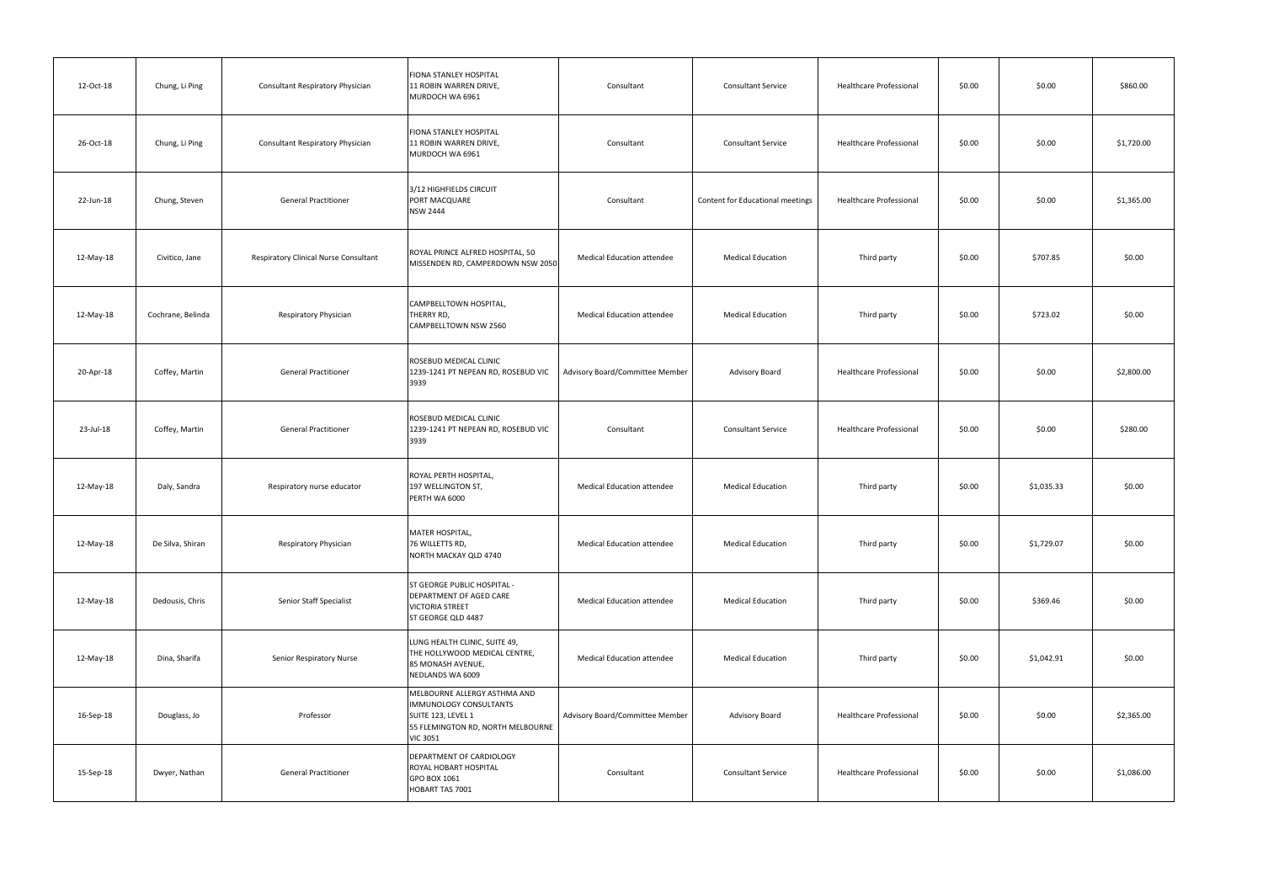| 12-Oct-18 | Chung, Li Ping    | <b>Consultant Respiratory Physician</b> | FIONA STANLEY HOSPITAL<br>11 ROBIN WARREN DRIVE,<br>MURDOCH WA 6961                                                                  | Consultant                        | <b>Consultant Service</b>        | Healthcare Professional | \$0.00 | \$0.00     | \$860.00   |
|-----------|-------------------|-----------------------------------------|--------------------------------------------------------------------------------------------------------------------------------------|-----------------------------------|----------------------------------|-------------------------|--------|------------|------------|
| 26-Oct-18 | Chung, Li Ping    | <b>Consultant Respiratory Physician</b> | FIONA STANLEY HOSPITAL<br>11 ROBIN WARREN DRIVE,<br>MURDOCH WA 6961                                                                  | Consultant                        | <b>Consultant Service</b>        | Healthcare Professional | \$0.00 | \$0.00     | \$1,720.00 |
| 22-Jun-18 | Chung, Steven     | <b>General Practitioner</b>             | 3/12 HIGHFIELDS CIRCUIT<br>PORT MACQUARE<br><b>NSW 2444</b>                                                                          | Consultant                        | Content for Educational meetings | Healthcare Professional | \$0.00 | \$0.00     | \$1,365.00 |
| 12-May-18 | Civitico, Jane    | Respiratory Clinical Nurse Consultant   | ROYAL PRINCE ALFRED HOSPITAL, 50<br>MISSENDEN RD, CAMPERDOWN NSW 2050                                                                | <b>Medical Education attendee</b> | <b>Medical Education</b>         | Third party             | \$0.00 | \$707.85   | \$0.00     |
| 12-May-18 | Cochrane, Belinda | Respiratory Physician                   | CAMPBELLTOWN HOSPITAL,<br>THERRY RD,<br>CAMPBELLTOWN NSW 2560                                                                        | Medical Education attendee        | <b>Medical Education</b>         | Third party             | \$0.00 | \$723.02   | \$0.00     |
| 20-Apr-18 | Coffey, Martin    | <b>General Practitioner</b>             | ROSEBUD MEDICAL CLINIC<br>1239-1241 PT NEPEAN RD, ROSEBUD VIC<br>3939                                                                | Advisory Board/Committee Member   | Advisory Board                   | Healthcare Professional | \$0.00 | \$0.00     | \$2,800.00 |
| 23-Jul-18 | Coffey, Martin    | <b>General Practitioner</b>             | ROSEBUD MEDICAL CLINIC<br>1239-1241 PT NEPEAN RD, ROSEBUD VIC<br>3939                                                                | Consultant                        | <b>Consultant Service</b>        | Healthcare Professional | \$0.00 | \$0.00     | \$280.00   |
| 12-May-18 | Daly, Sandra      | Respiratory nurse educator              | ROYAL PERTH HOSPITAL,<br>197 WELLINGTON ST,<br>PERTH WA 6000                                                                         | <b>Medical Education attendee</b> | <b>Medical Education</b>         | Third party             | \$0.00 | \$1,035.33 | \$0.00     |
| 12-May-18 | De Silva, Shiran  | Respiratory Physician                   | MATER HOSPITAL,<br>76 WILLETTS RD,<br>NORTH MACKAY QLD 4740                                                                          | Medical Education attendee        | <b>Medical Education</b>         | Third party             | \$0.00 | \$1,729.07 | \$0.00     |
| 12-May-18 | Dedousis, Chris   | Senior Staff Specialist                 | <b>ST GEORGE PUBLIC HOSPITAL -</b><br><b>DEPARTMENT OF AGED CARE</b><br><b>VICTORIA STREET</b><br>ST GEORGE QLD 4487                 | Medical Education attendee        | <b>Medical Education</b>         | Third party             | \$0.00 | \$369.46   | \$0.00     |
| 12-May-18 | Dina, Sharifa     | Senior Respiratory Nurse                | LUNG HEALTH CLINIC, SUITE 49,<br>THE HOLLYWOOD MEDICAL CENTRE,<br>85 MONASH AVENUE,<br>NEDLANDS WA 6009                              | Medical Education attendee        | <b>Medical Education</b>         | Third party             | \$0.00 | \$1,042.91 | \$0.00     |
| 16-Sep-18 | Douglass, Jo      | Professor                               | MELBOURNE ALLERGY ASTHMA AND<br>IMMUNOLOGY CONSULTANTS<br>SUITE 123, LEVEL 1<br>55 FLEMINGTON RD, NORTH MELBOURNE<br><b>VIC 3051</b> | Advisory Board/Committee Member   | Advisory Board                   | Healthcare Professional | \$0.00 | \$0.00     | \$2,365.00 |
| 15-Sep-18 | Dwyer, Nathan     | <b>General Practitioner</b>             | DEPARTMENT OF CARDIOLOGY<br>ROYAL HOBART HOSPITAL<br>GPO BOX 1061<br>HOBART TAS 7001                                                 | Consultant                        | <b>Consultant Service</b>        | Healthcare Professional | \$0.00 | \$0.00     | \$1,086.00 |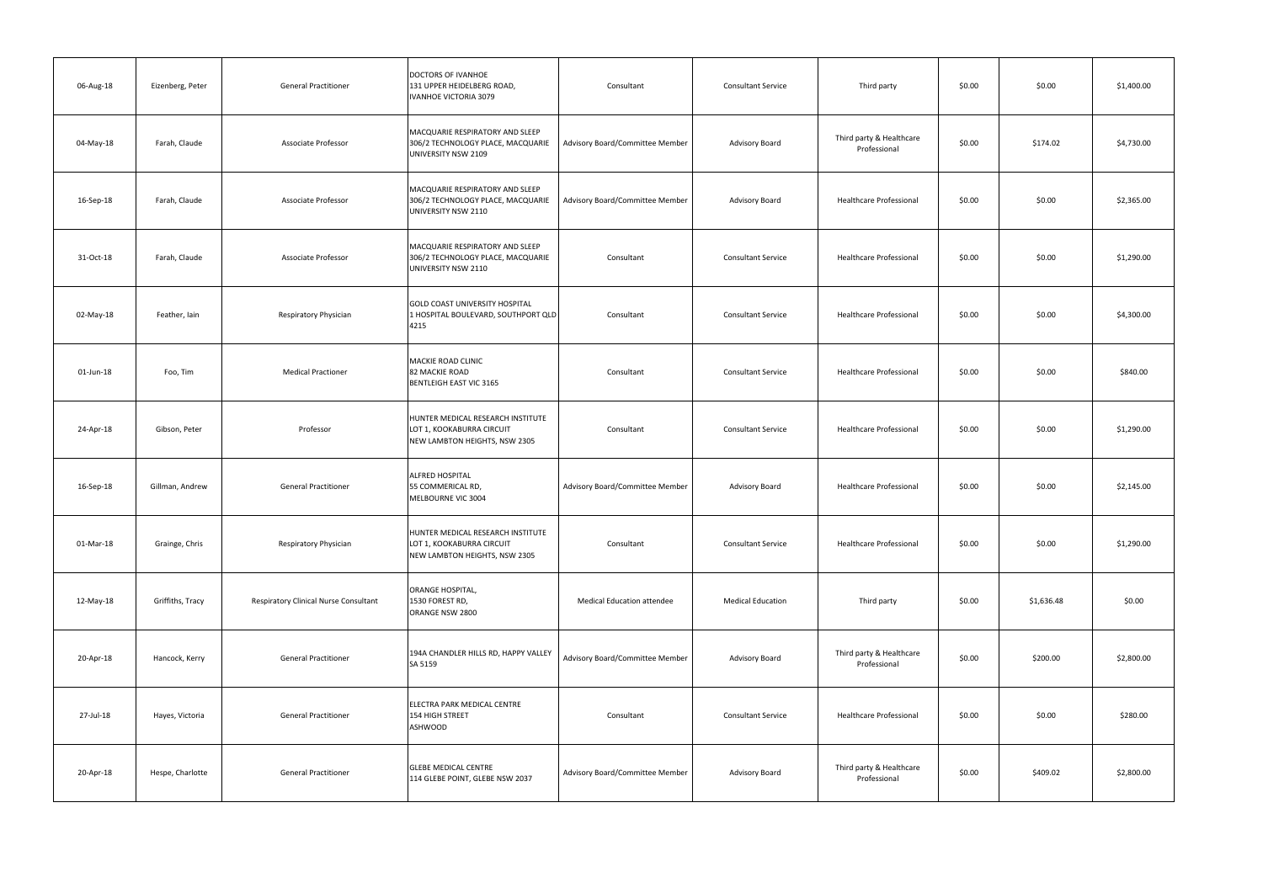| 06-Aug-18 | Eizenberg, Peter | <b>General Practitioner</b>           | DOCTORS OF IVANHOE<br>131 UPPER HEIDELBERG ROAD,<br>IVANHOE VICTORIA 3079                       | Consultant                        | <b>Consultant Service</b> | Third party                              | \$0.00 | \$0.00     | \$1,400.00 |
|-----------|------------------|---------------------------------------|-------------------------------------------------------------------------------------------------|-----------------------------------|---------------------------|------------------------------------------|--------|------------|------------|
| 04-May-18 | Farah, Claude    | Associate Professor                   | MACQUARIE RESPIRATORY AND SLEEP<br>306/2 TECHNOLOGY PLACE, MACQUARIE<br>UNIVERSITY NSW 2109     | Advisory Board/Committee Member   | Advisory Board            | Third party & Healthcare<br>Professional | \$0.00 | \$174.02   | \$4,730.00 |
| 16-Sep-18 | Farah, Claude    | <b>Associate Professor</b>            | MACQUARIE RESPIRATORY AND SLEEP<br>306/2 TECHNOLOGY PLACE, MACQUARIE<br>UNIVERSITY NSW 2110     | Advisory Board/Committee Member   | Advisory Board            | <b>Healthcare Professional</b>           | \$0.00 | \$0.00     | \$2,365.00 |
| 31-Oct-18 | Farah, Claude    | Associate Professor                   | MACQUARIE RESPIRATORY AND SLEEP<br>306/2 TECHNOLOGY PLACE, MACQUARIE<br>UNIVERSITY NSW 2110     | Consultant                        | <b>Consultant Service</b> | <b>Healthcare Professional</b>           | \$0.00 | \$0.00     | \$1,290.00 |
| 02-May-18 | Feather, Iain    | Respiratory Physician                 | GOLD COAST UNIVERSITY HOSPITAL<br>1 HOSPITAL BOULEVARD, SOUTHPORT QLD<br>4215                   | Consultant                        | <b>Consultant Service</b> | <b>Healthcare Professional</b>           | \$0.00 | \$0.00     | \$4,300.00 |
| 01-Jun-18 | Foo, Tim         | <b>Medical Practioner</b>             | MACKIE ROAD CLINIC<br><b>82 MACKIE ROAD</b><br>BENTLEIGH EAST VIC 3165                          | Consultant                        | <b>Consultant Service</b> | <b>Healthcare Professional</b>           | \$0.00 | \$0.00     | \$840.00   |
| 24-Apr-18 | Gibson, Peter    | Professor                             | HUNTER MEDICAL RESEARCH INSTITUTE<br>LOT 1, KOOKABURRA CIRCUIT<br>NEW LAMBTON HEIGHTS, NSW 2305 | Consultant                        | <b>Consultant Service</b> | <b>Healthcare Professional</b>           | \$0.00 | \$0.00     | \$1,290.00 |
| 16-Sep-18 | Gillman, Andrew  | <b>General Practitioner</b>           | ALFRED HOSPITAL<br>55 COMMERICAL RD,<br>MELBOURNE VIC 3004                                      | Advisory Board/Committee Member   | Advisory Board            | <b>Healthcare Professional</b>           | \$0.00 | \$0.00     | \$2,145.00 |
| 01-Mar-18 | Grainge, Chris   | Respiratory Physician                 | HUNTER MEDICAL RESEARCH INSTITUTE<br>LOT 1, KOOKABURRA CIRCUIT<br>NEW LAMBTON HEIGHTS, NSW 2305 | Consultant                        | <b>Consultant Service</b> | Healthcare Professional                  | \$0.00 | \$0.00     | \$1,290.00 |
| 12-May-18 | Griffiths, Tracy | Respiratory Clinical Nurse Consultant | ORANGE HOSPITAL,<br>1530 FOREST RD,<br>ORANGE NSW 2800                                          | <b>Medical Education attendee</b> | <b>Medical Education</b>  | Third party                              | \$0.00 | \$1,636.48 | \$0.00     |
| 20-Apr-18 | Hancock, Kerry   | <b>General Practitioner</b>           | 194A CHANDLER HILLS RD, HAPPY VALLEY<br>SA 5159                                                 | Advisory Board/Committee Member   | Advisory Board            | Third party & Healthcare<br>Professional | \$0.00 | \$200.00   | \$2,800.00 |
| 27-Jul-18 | Hayes, Victoria  | <b>General Practitioner</b>           | ELECTRA PARK MEDICAL CENTRE<br>154 HIGH STREET<br>ASHWOOD                                       | Consultant                        | <b>Consultant Service</b> | <b>Healthcare Professional</b>           | \$0.00 | \$0.00     | \$280.00   |
| 20-Apr-18 | Hespe, Charlotte | <b>General Practitioner</b>           | <b>GLEBE MEDICAL CENTRE</b><br>114 GLEBE POINT, GLEBE NSW 2037                                  | Advisory Board/Committee Member   | Advisory Board            | Third party & Healthcare<br>Professional | \$0.00 | \$409.02   | \$2,800.00 |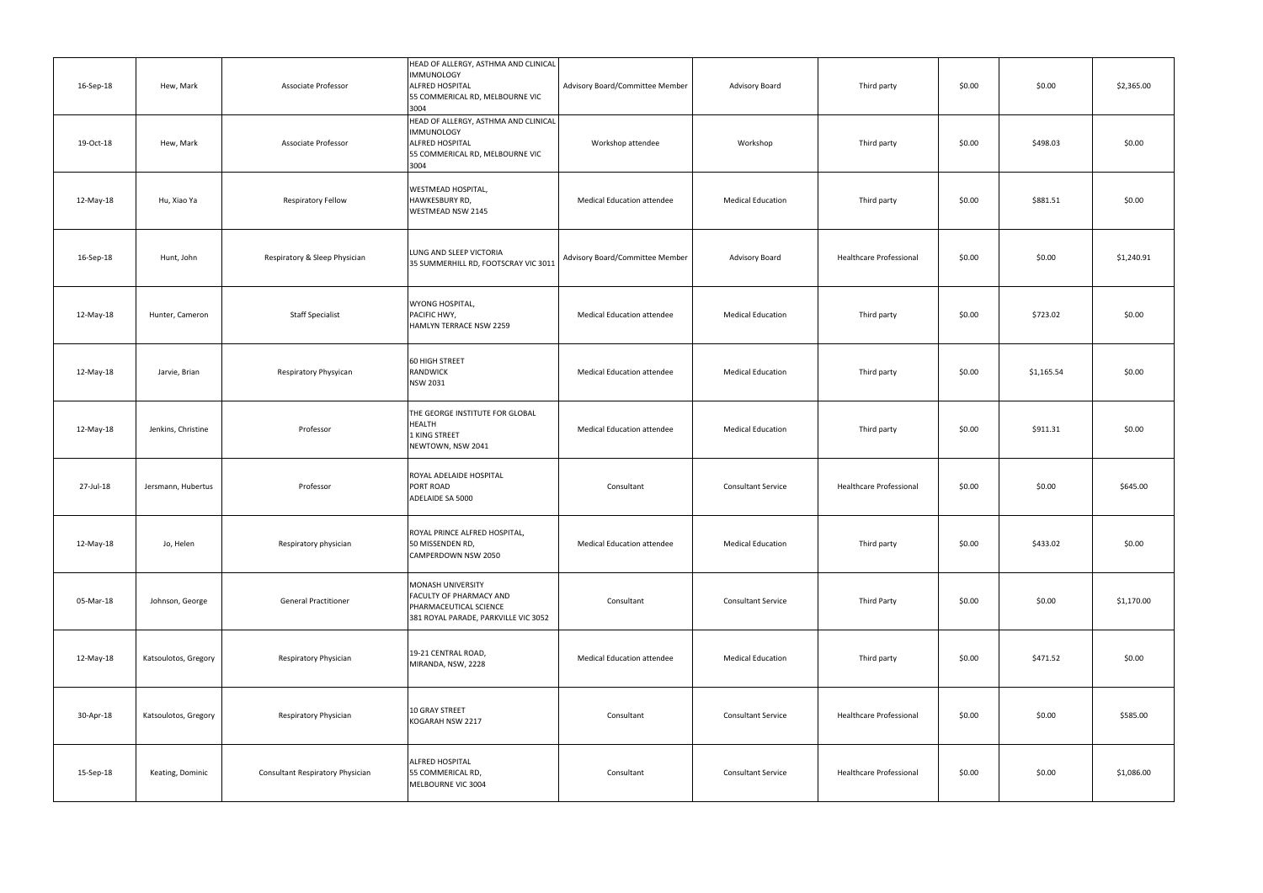| 16-Sep-18 | Hew, Mark            | Associate Professor              | HEAD OF ALLERGY, ASTHMA AND CLINICAL<br><b>IMMUNOLOGY</b><br>ALFRED HOSPITAL<br>55 COMMERICAL RD, MELBOURNE VIC<br>3004 | Advisory Board/Committee Member   | Advisory Board            | Third party                    | \$0.00 | \$0.00     | \$2,365.00 |
|-----------|----------------------|----------------------------------|-------------------------------------------------------------------------------------------------------------------------|-----------------------------------|---------------------------|--------------------------------|--------|------------|------------|
| 19-Oct-18 | Hew, Mark            | Associate Professor              | HEAD OF ALLERGY, ASTHMA AND CLINICAL<br><b>IMMUNOLOGY</b><br>ALFRED HOSPITAL<br>55 COMMERICAL RD, MELBOURNE VIC<br>3004 | Workshop attendee                 | Workshop                  | Third party                    | \$0.00 | \$498.03   | \$0.00     |
| 12-May-18 | Hu, Xiao Ya          | Respiratory Fellow               | WESTMEAD HOSPITAL,<br>HAWKESBURY RD,<br>WESTMEAD NSW 2145                                                               | <b>Medical Education attendee</b> | <b>Medical Education</b>  | Third party                    | \$0.00 | \$881.51   | \$0.00     |
| 16-Sep-18 | Hunt, John           | Respiratory & Sleep Physician    | LUNG AND SLEEP VICTORIA<br>35 SUMMERHILL RD, FOOTSCRAY VIC 3011                                                         | Advisory Board/Committee Member   | Advisory Board            | <b>Healthcare Professional</b> | \$0.00 | \$0.00     | \$1,240.91 |
| 12-May-18 | Hunter, Cameron      | <b>Staff Specialist</b>          | <b>WYONG HOSPITAL,</b><br>PACIFIC HWY,<br>HAMLYN TERRACE NSW 2259                                                       | <b>Medical Education attendee</b> | <b>Medical Education</b>  | Third party                    | \$0.00 | \$723.02   | \$0.00     |
| 12-May-18 | Jarvie, Brian        | Respiratory Physyican            | <b>60 HIGH STREET</b><br>RANDWICK<br>NSW 2031                                                                           | <b>Medical Education attendee</b> | <b>Medical Education</b>  | Third party                    | \$0.00 | \$1,165.54 | \$0.00     |
| 12-May-18 | Jenkins, Christine   | Professor                        | THE GEORGE INSTITUTE FOR GLOBAL<br><b>HEALTH</b><br>1 KING STREET<br>NEWTOWN, NSW 2041                                  | <b>Medical Education attendee</b> | <b>Medical Education</b>  | Third party                    | \$0.00 | \$911.31   | \$0.00     |
| 27-Jul-18 | Jersmann, Hubertus   | Professor                        | ROYAL ADELAIDE HOSPITAL<br>PORT ROAD<br>ADELAIDE SA 5000                                                                | Consultant                        | <b>Consultant Service</b> | <b>Healthcare Professional</b> | \$0.00 | \$0.00     | \$645.00   |
| 12-May-18 | Jo, Helen            | Respiratory physician            | ROYAL PRINCE ALFRED HOSPITAL,<br>50 MISSENDEN RD,<br>CAMPERDOWN NSW 2050                                                | <b>Medical Education attendee</b> | <b>Medical Education</b>  | Third party                    | \$0.00 | \$433.02   | \$0.00     |
| 05-Mar-18 | Johnson, George      | <b>General Practitioner</b>      | MONASH UNIVERSITY<br>FACULTY OF PHARMACY AND<br>PHARMACEUTICAL SCIENCE<br>381 ROYAL PARADE, PARKVILLE VIC 3052          | Consultant                        | <b>Consultant Service</b> | Third Party                    | \$0.00 | \$0.00     | \$1,170.00 |
| 12-May-18 | Katsoulotos, Gregory | Respiratory Physician            | 19-21 CENTRAL ROAD,<br>MIRANDA, NSW, 2228                                                                               | <b>Medical Education attendee</b> | <b>Medical Education</b>  | Third party                    | \$0.00 | \$471.52   | \$0.00     |
| 30-Apr-18 | Katsoulotos, Gregory | Respiratory Physician            | 10 GRAY STREET<br>KOGARAH NSW 2217                                                                                      | Consultant                        | <b>Consultant Service</b> | Healthcare Professional        | \$0.00 | \$0.00     | \$585.00   |
| 15-Sep-18 | Keating, Dominic     | Consultant Respiratory Physician | ALFRED HOSPITAL<br>55 COMMERICAL RD,<br>MELBOURNE VIC 3004                                                              | Consultant                        | <b>Consultant Service</b> | <b>Healthcare Professional</b> | \$0.00 | \$0.00     | \$1,086.00 |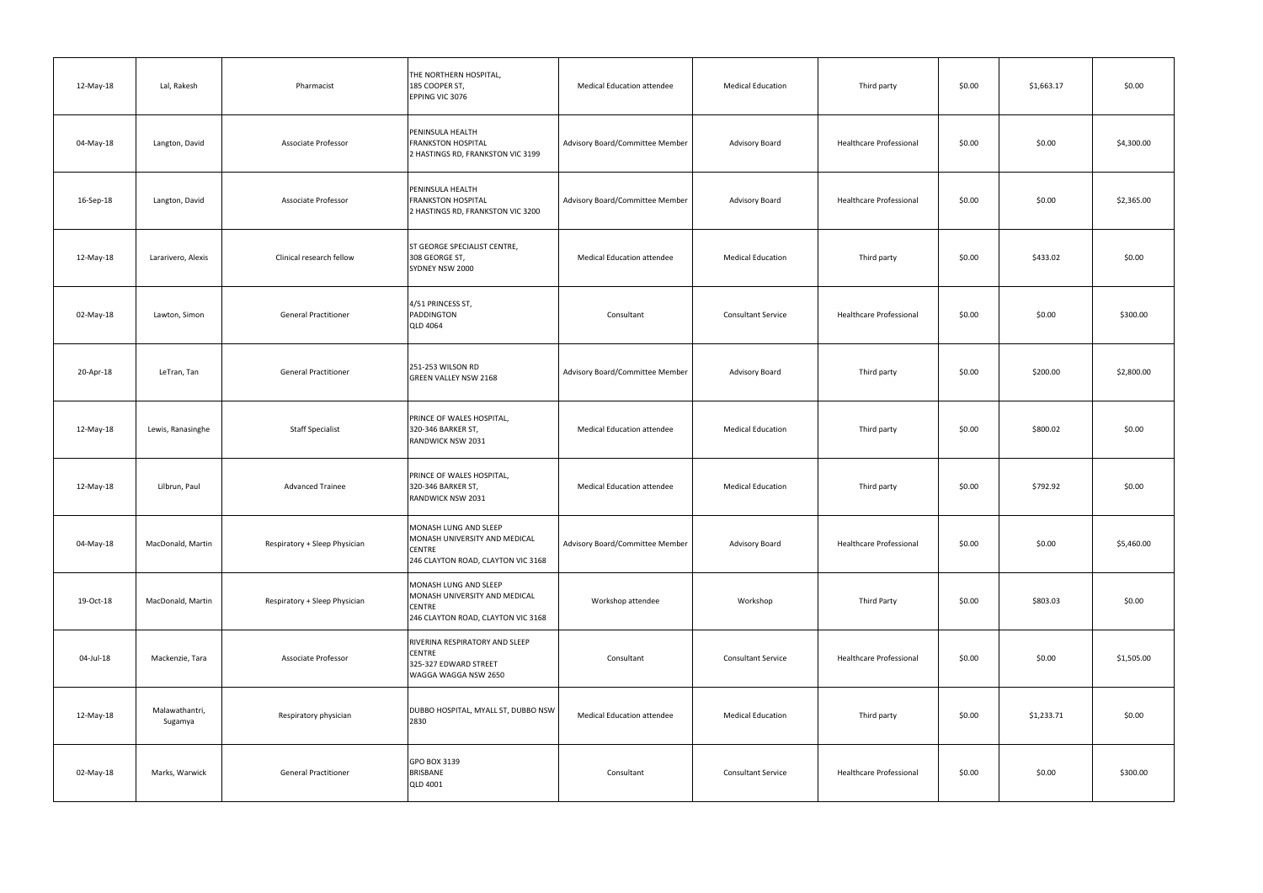| 12-May-18 | Lal, Rakesh               | Pharmacist                    | THE NORTHERN HOSPITAL,<br>185 COOPER ST,<br>EPPING VIC 3076                                                   | <b>Medical Education attendee</b> | <b>Medical Education</b>  | Third party                    | \$0.00 | \$1,663.17 | \$0.00     |
|-----------|---------------------------|-------------------------------|---------------------------------------------------------------------------------------------------------------|-----------------------------------|---------------------------|--------------------------------|--------|------------|------------|
| 04-May-18 | Langton, David            | Associate Professor           | PENINSULA HEALTH<br><b>FRANKSTON HOSPITAL</b><br>2 HASTINGS RD, FRANKSTON VIC 3199                            | Advisory Board/Committee Member   | <b>Advisory Board</b>     | <b>Healthcare Professional</b> | \$0.00 | \$0.00     | \$4,300.00 |
| 16-Sep-18 | Langton, David            | Associate Professor           | PENINSULA HEALTH<br><b>FRANKSTON HOSPITAL</b><br>2 HASTINGS RD, FRANKSTON VIC 3200                            | Advisory Board/Committee Member   | <b>Advisory Board</b>     | Healthcare Professional        | \$0.00 | \$0.00     | \$2,365.00 |
| 12-May-18 | Lararivero, Alexis        | Clinical research fellow      | ST GEORGE SPECIALIST CENTRE,<br>308 GEORGE ST,<br>SYDNEY NSW 2000                                             | <b>Medical Education attendee</b> | <b>Medical Education</b>  | Third party                    | \$0.00 | \$433.02   | \$0.00     |
| 02-May-18 | Lawton, Simon             | <b>General Practitioner</b>   | 4/51 PRINCESS ST,<br><b>PADDINGTON</b><br><b>QLD 4064</b>                                                     | Consultant                        | <b>Consultant Service</b> | Healthcare Professional        | \$0.00 | \$0.00     | \$300.00   |
| 20-Apr-18 | LeTran, Tan               | <b>General Practitioner</b>   | 251-253 WILSON RD<br><b>GREEN VALLEY NSW 2168</b>                                                             | Advisory Board/Committee Member   | <b>Advisory Board</b>     | Third party                    | \$0.00 | \$200.00   | \$2,800.00 |
| 12-May-18 | Lewis, Ranasinghe         | <b>Staff Specialist</b>       | PRINCE OF WALES HOSPITAL,<br>320-346 BARKER ST,<br>RANDWICK NSW 2031                                          | <b>Medical Education attendee</b> | <b>Medical Education</b>  | Third party                    | \$0.00 | \$800.02   | \$0.00     |
| 12-May-18 | Lilbrun, Paul             | <b>Advanced Trainee</b>       | PRINCE OF WALES HOSPITAL,<br>320-346 BARKER ST,<br>RANDWICK NSW 2031                                          | <b>Medical Education attendee</b> | <b>Medical Education</b>  | Third party                    | \$0.00 | \$792.92   | \$0.00     |
| 04-May-18 | MacDonald, Martin         | Respiratory + Sleep Physician | MONASH LUNG AND SLEEP<br>MONASH UNIVERSITY AND MEDICAL<br><b>CENTRE</b><br>246 CLAYTON ROAD, CLAYTON VIC 3168 | Advisory Board/Committee Member   | Advisory Board            | <b>Healthcare Professional</b> | \$0.00 | \$0.00     | \$5,460.00 |
| 19-Oct-18 | MacDonald, Martin         | Respiratory + Sleep Physician | MONASH LUNG AND SLEEP<br>MONASH UNIVERSITY AND MEDICAL<br><b>CENTRE</b><br>246 CLAYTON ROAD, CLAYTON VIC 3168 | Workshop attendee                 | Workshop                  | <b>Third Party</b>             | \$0.00 | \$803.03   | \$0.00     |
| 04-Jul-18 | Mackenzie, Tara           | <b>Associate Professor</b>    | RIVERINA RESPIRATORY AND SLEEP<br><b>CENTRE</b><br>325-327 EDWARD STREET<br>WAGGA WAGGA NSW 2650              | Consultant                        | <b>Consultant Service</b> | <b>Healthcare Professional</b> | \$0.00 | \$0.00     | \$1,505.00 |
| 12-May-18 | Malawathantri,<br>Sugamya | Respiratory physician         | DUBBO HOSPITAL, MYALL ST, DUBBO NSW<br>2830                                                                   | Medical Education attendee        | <b>Medical Education</b>  | Third party                    | \$0.00 | \$1,233.71 | \$0.00     |
| 02-May-18 | Marks, Warwick            | <b>General Practitioner</b>   | GPO BOX 3139<br>BRISBANE<br><b>QLD 4001</b>                                                                   | Consultant                        | <b>Consultant Service</b> | Healthcare Professional        | \$0.00 | \$0.00     | \$300.00   |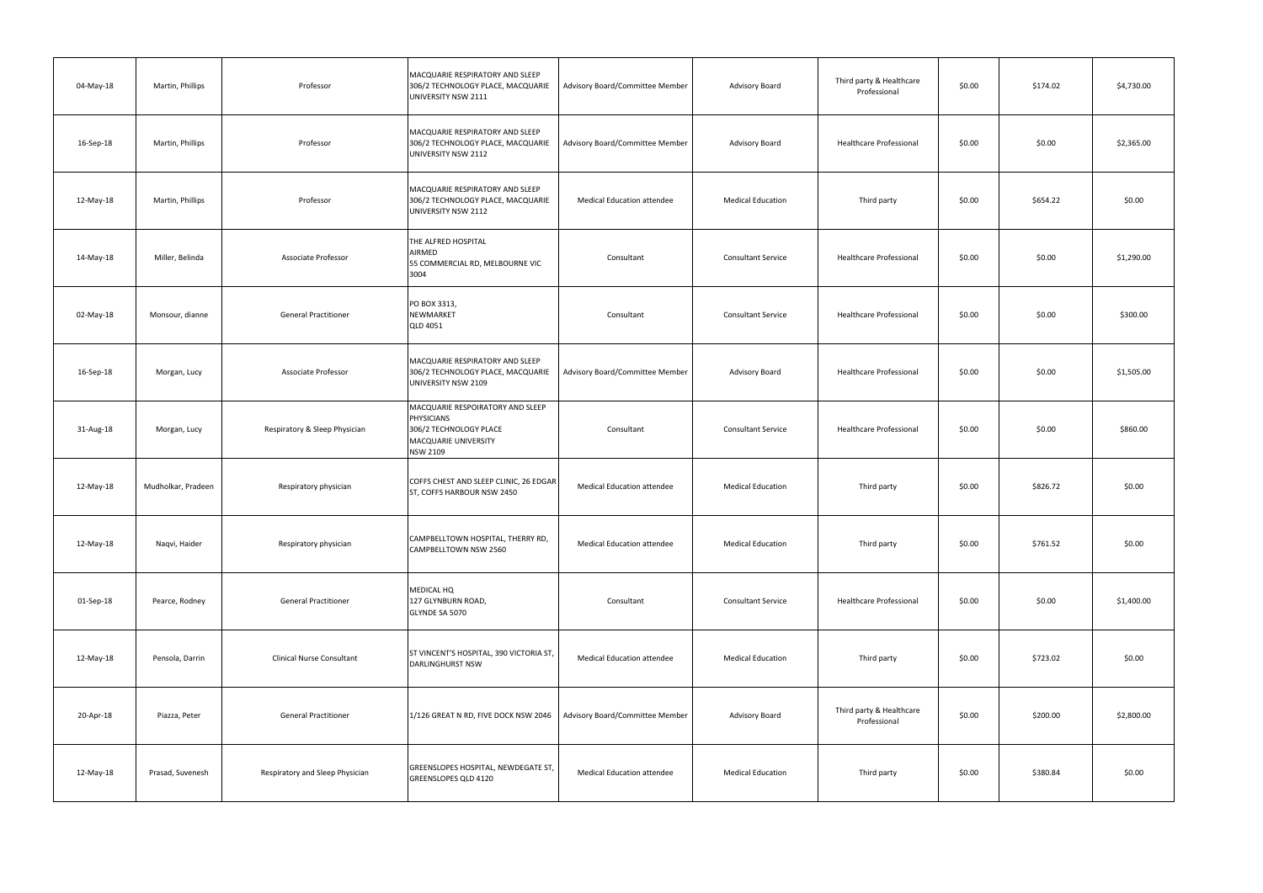| 04-May-18 | Martin, Phillips   | Professor                        | MACQUARIE RESPIRATORY AND SLEEP<br>306/2 TECHNOLOGY PLACE, MACQUARIE<br>UNIVERSITY NSW 2111                         | Advisory Board/Committee Member   | <b>Advisory Board</b>     | Third party & Healthcare<br>Professional | \$0.00 | \$174.02 | \$4,730.00 |
|-----------|--------------------|----------------------------------|---------------------------------------------------------------------------------------------------------------------|-----------------------------------|---------------------------|------------------------------------------|--------|----------|------------|
| 16-Sep-18 | Martin, Phillips   | Professor                        | MACQUARIE RESPIRATORY AND SLEEP<br>306/2 TECHNOLOGY PLACE, MACQUARIE<br>UNIVERSITY NSW 2112                         | Advisory Board/Committee Member   | <b>Advisory Board</b>     | Healthcare Professional                  | \$0.00 | \$0.00   | \$2,365.00 |
| 12-May-18 | Martin, Phillips   | Professor                        | MACQUARIE RESPIRATORY AND SLEEP<br>306/2 TECHNOLOGY PLACE, MACQUARIE<br>UNIVERSITY NSW 2112                         | <b>Medical Education attendee</b> | <b>Medical Education</b>  | Third party                              | \$0.00 | \$654.22 | \$0.00     |
| 14-May-18 | Miller, Belinda    | Associate Professor              | THE ALFRED HOSPITAL<br>AIRMED<br>55 COMMERCIAL RD, MELBOURNE VIC<br>3004                                            | Consultant                        | <b>Consultant Service</b> | Healthcare Professional                  | \$0.00 | \$0.00   | \$1,290.00 |
| 02-May-18 | Monsour, dianne    | <b>General Practitioner</b>      | PO BOX 3313,<br>NEWMARKET<br><b>QLD 4051</b>                                                                        | Consultant                        | <b>Consultant Service</b> | Healthcare Professional                  | \$0.00 | \$0.00   | \$300.00   |
| 16-Sep-18 | Morgan, Lucy       | Associate Professor              | MACQUARIE RESPIRATORY AND SLEEP<br>306/2 TECHNOLOGY PLACE, MACQUARIE<br>UNIVERSITY NSW 2109                         | Advisory Board/Committee Member   | <b>Advisory Board</b>     | Healthcare Professional                  | \$0.00 | \$0.00   | \$1,505.00 |
| 31-Aug-18 | Morgan, Lucy       | Respiratory & Sleep Physician    | MACQUARIE RESPOIRATORY AND SLEEP<br>PHYSICIANS<br>306/2 TECHNOLOGY PLACE<br>MACQUARIE UNIVERSITY<br><b>NSW 2109</b> | Consultant                        | <b>Consultant Service</b> | Healthcare Professional                  | \$0.00 | \$0.00   | \$860.00   |
| 12-May-18 | Mudholkar, Pradeen | Respiratory physician            | COFFS CHEST AND SLEEP CLINIC, 26 EDGAR<br>ST, COFFS HARBOUR NSW 2450                                                | <b>Medical Education attendee</b> | <b>Medical Education</b>  | Third party                              | \$0.00 | \$826.72 | \$0.00     |
| 12-May-18 | Naqvi, Haider      | Respiratory physician            | CAMPBELLTOWN HOSPITAL, THERRY RD,<br>CAMPBELLTOWN NSW 2560                                                          | <b>Medical Education attendee</b> | <b>Medical Education</b>  | Third party                              | \$0.00 | \$761.52 | \$0.00     |
| 01-Sep-18 | Pearce, Rodney     | <b>General Practitioner</b>      | MEDICAL HQ<br>127 GLYNBURN ROAD,<br>GLYNDE SA 5070                                                                  | Consultant                        | <b>Consultant Service</b> | Healthcare Professional                  | \$0.00 | \$0.00   | \$1,400.00 |
| 12-May-18 | Pensola, Darrin    | <b>Clinical Nurse Consultant</b> | ST VINCENT'S HOSPITAL, 390 VICTORIA ST,<br><b>DARLINGHURST NSW</b>                                                  | <b>Medical Education attendee</b> | <b>Medical Education</b>  | Third party                              | \$0.00 | \$723.02 | \$0.00     |
| 20-Apr-18 | Piazza, Peter      | <b>General Practitioner</b>      | 1/126 GREAT N RD, FIVE DOCK NSW 2046                                                                                | Advisory Board/Committee Member   | Advisory Board            | Third party & Healthcare<br>Professional | \$0.00 | \$200.00 | \$2,800.00 |
| 12-May-18 | Prasad, Suvenesh   | Respiratory and Sleep Physician  | GREENSLOPES HOSPITAL, NEWDEGATE ST,<br><b>GREENSLOPES QLD 4120</b>                                                  | <b>Medical Education attendee</b> | <b>Medical Education</b>  | Third party                              | \$0.00 | \$380.84 | \$0.00     |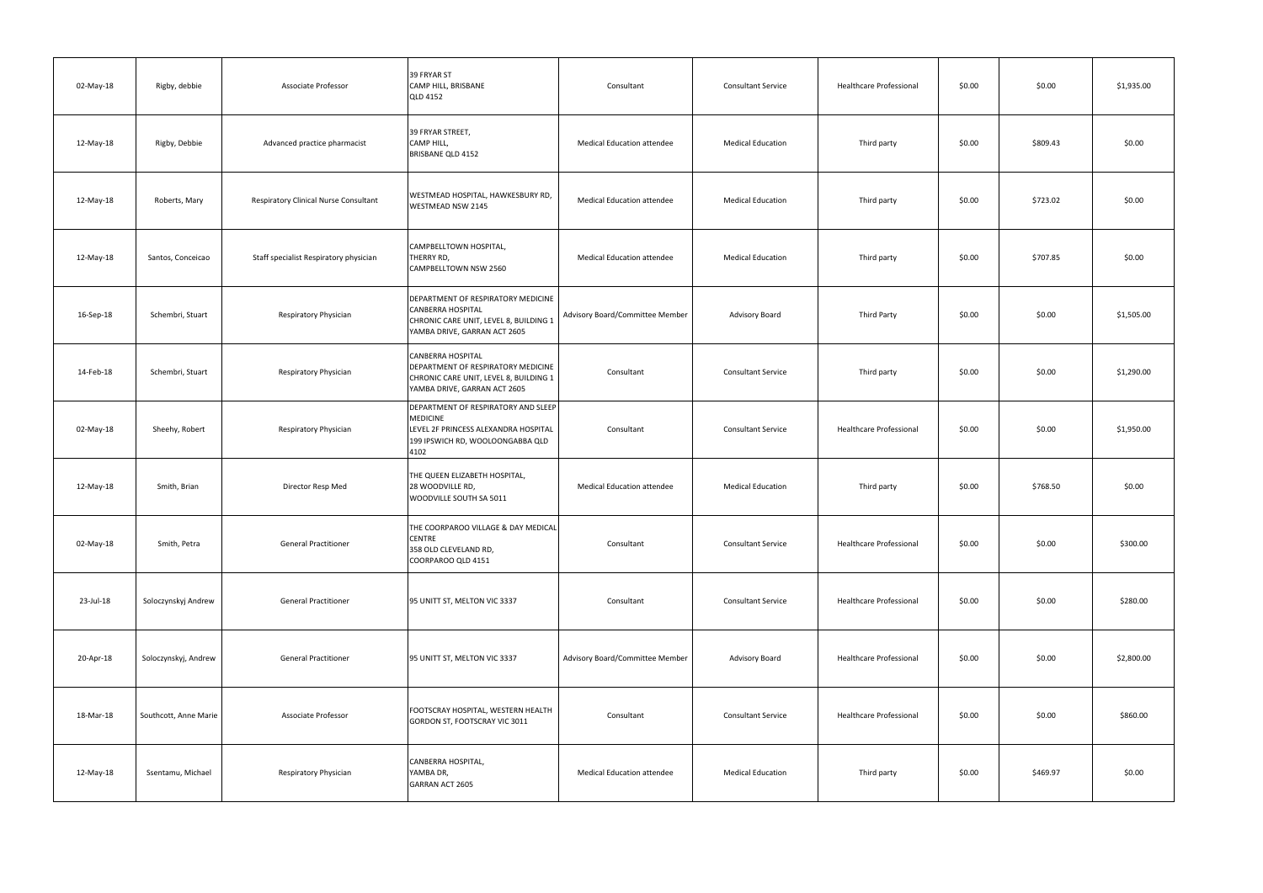| 02-May-18 | Rigby, debbie         | Associate Professor                          | 39 FRYAR ST<br>CAMP HILL, BRISBANE<br><b>QLD 4152</b>                                                                                      | Consultant                        | <b>Consultant Service</b> | Healthcare Professional        | \$0.00 | \$0.00   | \$1,935.00 |
|-----------|-----------------------|----------------------------------------------|--------------------------------------------------------------------------------------------------------------------------------------------|-----------------------------------|---------------------------|--------------------------------|--------|----------|------------|
| 12-May-18 | Rigby, Debbie         | Advanced practice pharmacist                 | 39 FRYAR STREET,<br>CAMP HILL,<br>BRISBANE QLD 4152                                                                                        | <b>Medical Education attendee</b> | <b>Medical Education</b>  | Third party                    | \$0.00 | \$809.43 | \$0.00     |
| 12-May-18 | Roberts, Mary         | <b>Respiratory Clinical Nurse Consultant</b> | WESTMEAD HOSPITAL, HAWKESBURY RD,<br>WESTMEAD NSW 2145                                                                                     | <b>Medical Education attendee</b> | <b>Medical Education</b>  | Third party                    | \$0.00 | \$723.02 | \$0.00     |
| 12-May-18 | Santos, Conceicao     | Staff specialist Respiratory physician       | CAMPBELLTOWN HOSPITAL,<br>THERRY RD,<br>CAMPBELLTOWN NSW 2560                                                                              | <b>Medical Education attendee</b> | <b>Medical Education</b>  | Third party                    | \$0.00 | \$707.85 | \$0.00     |
| 16-Sep-18 | Schembri, Stuart      | Respiratory Physician                        | DEPARTMENT OF RESPIRATORY MEDICINE<br><b>CANBERRA HOSPITAL</b><br>CHRONIC CARE UNIT, LEVEL 8, BUILDING 1<br>YAMBA DRIVE, GARRAN ACT 2605   | Advisory Board/Committee Member   | <b>Advisory Board</b>     | <b>Third Party</b>             | \$0.00 | \$0.00   | \$1,505.00 |
| 14-Feb-18 | Schembri, Stuart      | Respiratory Physician                        | <b>CANBERRA HOSPITAL</b><br>DEPARTMENT OF RESPIRATORY MEDICINE<br>CHRONIC CARE UNIT, LEVEL 8, BUILDING 1<br>YAMBA DRIVE, GARRAN ACT 2605   | Consultant                        | <b>Consultant Service</b> | Third party                    | \$0.00 | \$0.00   | \$1,290.00 |
| 02-May-18 | Sheehy, Robert        | Respiratory Physician                        | DEPARTMENT OF RESPIRATORY AND SLEEP<br><b>MEDICINE</b><br>LEVEL 2F PRINCESS ALEXANDRA HOSPITAL<br>199 IPSWICH RD, WOOLOONGABBA QLD<br>4102 | Consultant                        | <b>Consultant Service</b> | Healthcare Professional        | \$0.00 | \$0.00   | \$1,950.00 |
| 12-May-18 | Smith, Brian          | Director Resp Med                            | THE QUEEN ELIZABETH HOSPITAL,<br>28 WOODVILLE RD,<br>WOODVILLE SOUTH SA 5011                                                               | <b>Medical Education attendee</b> | <b>Medical Education</b>  | Third party                    | \$0.00 | \$768.50 | \$0.00     |
| 02-May-18 | Smith, Petra          | <b>General Practitioner</b>                  | THE COORPAROO VILLAGE & DAY MEDICAL<br><b>CENTRE</b><br>358 OLD CLEVELAND RD,<br>COORPAROO QLD 4151                                        | Consultant                        | <b>Consultant Service</b> | Healthcare Professional        | \$0.00 | \$0.00   | \$300.00   |
| 23-Jul-18 | Soloczynskyj Andrew   | <b>General Practitioner</b>                  | 95 UNITT ST, MELTON VIC 3337                                                                                                               | Consultant                        | <b>Consultant Service</b> | Healthcare Professional        | \$0.00 | \$0.00   | \$280.00   |
| 20-Apr-18 | Soloczynskyj, Andrew  | <b>General Practitioner</b>                  | 95 UNITT ST, MELTON VIC 3337                                                                                                               | Advisory Board/Committee Member   | Advisory Board            | <b>Healthcare Professional</b> | \$0.00 | \$0.00   | \$2,800.00 |
| 18-Mar-18 | Southcott, Anne Marie | <b>Associate Professor</b>                   | FOOTSCRAY HOSPITAL, WESTERN HEALTH<br>GORDON ST, FOOTSCRAY VIC 3011                                                                        | Consultant                        | <b>Consultant Service</b> | <b>Healthcare Professional</b> | \$0.00 | \$0.00   | \$860.00   |
| 12-May-18 | Ssentamu, Michael     | Respiratory Physician                        | CANBERRA HOSPITAL,<br>YAMBA DR,<br><b>GARRAN ACT 2605</b>                                                                                  | <b>Medical Education attendee</b> | <b>Medical Education</b>  | Third party                    | \$0.00 | \$469.97 | \$0.00     |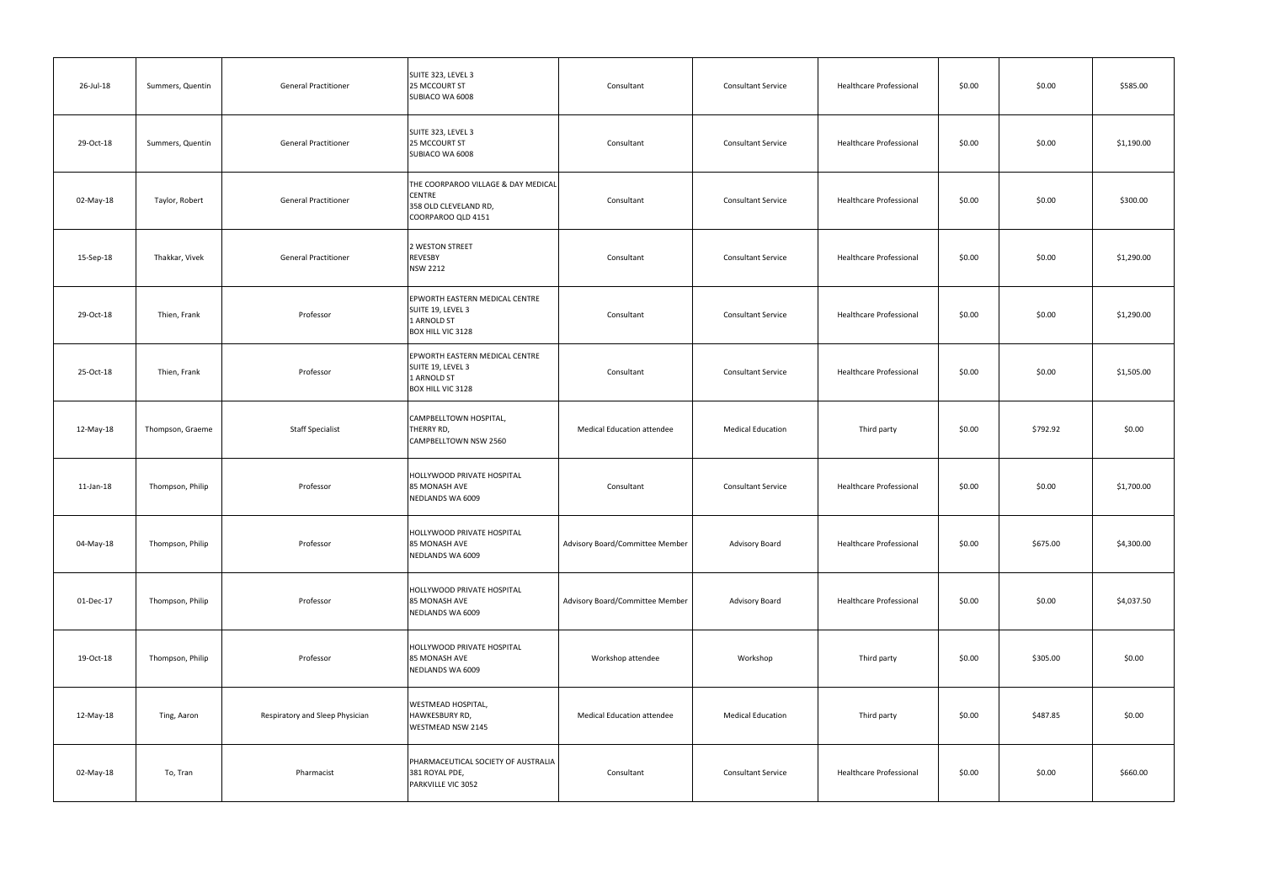| 26-Jul-18 | Summers, Quentin | <b>General Practitioner</b>     | SUITE 323, LEVEL 3<br>25 MCCOURT ST<br>SUBIACO WA 6008                                              | Consultant                        | <b>Consultant Service</b> | Healthcare Professional        | \$0.00 | \$0.00   | \$585.00   |
|-----------|------------------|---------------------------------|-----------------------------------------------------------------------------------------------------|-----------------------------------|---------------------------|--------------------------------|--------|----------|------------|
| 29-Oct-18 | Summers, Quentin | <b>General Practitioner</b>     | SUITE 323, LEVEL 3<br>25 MCCOURT ST<br>SUBIACO WA 6008                                              | Consultant                        | <b>Consultant Service</b> | <b>Healthcare Professional</b> | \$0.00 | \$0.00   | \$1,190.00 |
| 02-May-18 | Taylor, Robert   | <b>General Practitioner</b>     | THE COORPAROO VILLAGE & DAY MEDICAL<br><b>CENTRE</b><br>358 OLD CLEVELAND RD,<br>COORPAROO QLD 4151 | Consultant                        | <b>Consultant Service</b> | <b>Healthcare Professional</b> | \$0.00 | \$0.00   | \$300.00   |
| 15-Sep-18 | Thakkar, Vivek   | <b>General Practitioner</b>     | 2 WESTON STREET<br>REVESBY<br><b>NSW 2212</b>                                                       | Consultant                        | <b>Consultant Service</b> | Healthcare Professional        | \$0.00 | \$0.00   | \$1,290.00 |
| 29-Oct-18 | Thien, Frank     | Professor                       | EPWORTH EASTERN MEDICAL CENTRE<br>SUITE 19, LEVEL 3<br>1 ARNOLD ST<br>BOX HILL VIC 3128             | Consultant                        | <b>Consultant Service</b> | <b>Healthcare Professional</b> | \$0.00 | \$0.00   | \$1,290.00 |
| 25-Oct-18 | Thien, Frank     | Professor                       | EPWORTH EASTERN MEDICAL CENTRE<br>SUITE 19, LEVEL 3<br>1 ARNOLD ST<br>BOX HILL VIC 3128             | Consultant                        | <b>Consultant Service</b> | <b>Healthcare Professional</b> | \$0.00 | \$0.00   | \$1,505.00 |
| 12-May-18 | Thompson, Graeme | <b>Staff Specialist</b>         | CAMPBELLTOWN HOSPITAL,<br>THERRY RD,<br>CAMPBELLTOWN NSW 2560                                       | <b>Medical Education attendee</b> | <b>Medical Education</b>  | Third party                    | \$0.00 | \$792.92 | \$0.00     |
| 11-Jan-18 | Thompson, Philip | Professor                       | HOLLYWOOD PRIVATE HOSPITAL<br>85 MONASH AVE<br>NEDLANDS WA 6009                                     | Consultant                        | <b>Consultant Service</b> | <b>Healthcare Professional</b> | \$0.00 | \$0.00   | \$1,700.00 |
| 04-May-18 | Thompson, Philip | Professor                       | HOLLYWOOD PRIVATE HOSPITAL<br>85 MONASH AVE<br>NEDLANDS WA 6009                                     | Advisory Board/Committee Member   | Advisory Board            | <b>Healthcare Professional</b> | \$0.00 | \$675.00 | \$4,300.00 |
| 01-Dec-17 | Thompson, Philip | Professor                       | HOLLYWOOD PRIVATE HOSPITAL<br>85 MONASH AVE<br>NEDLANDS WA 6009                                     | Advisory Board/Committee Member   | Advisory Board            | Healthcare Professional        | \$0.00 | \$0.00   | \$4,037.50 |
| 19-Oct-18 | Thompson, Philip | Professor                       | HOLLYWOOD PRIVATE HOSPITAL<br>85 MONASH AVE<br>NEDLANDS WA 6009                                     | Workshop attendee                 | Workshop                  | Third party                    | \$0.00 | \$305.00 | \$0.00     |
| 12-May-18 | Ting, Aaron      | Respiratory and Sleep Physician | WESTMEAD HOSPITAL,<br>HAWKESBURY RD,<br>WESTMEAD NSW 2145                                           | <b>Medical Education attendee</b> | <b>Medical Education</b>  | Third party                    | \$0.00 | \$487.85 | \$0.00     |
| 02-May-18 | To, Tran         | Pharmacist                      | PHARMACEUTICAL SOCIETY OF AUSTRALIA<br>381 ROYAL PDE,<br>PARKVILLE VIC 3052                         | Consultant                        | <b>Consultant Service</b> | Healthcare Professional        | \$0.00 | \$0.00   | \$660.00   |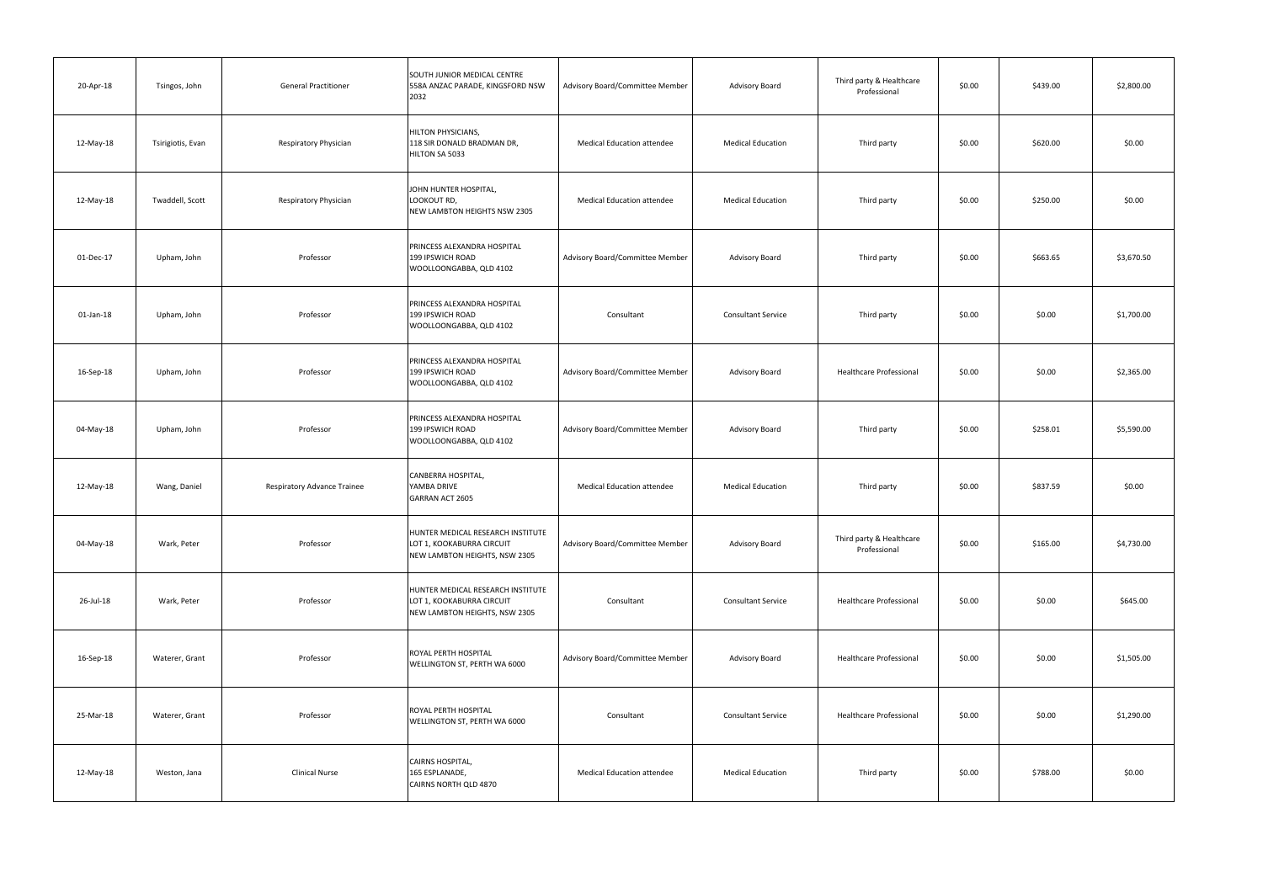| 20-Apr-18 | Tsingos, John     | <b>General Practitioner</b> | SOUTH JUNIOR MEDICAL CENTRE<br>558A ANZAC PARADE, KINGSFORD NSW<br>2032                         | Advisory Board/Committee Member   | <b>Advisory Board</b>     | Third party & Healthcare<br>Professional | \$0.00 | \$439.00 | \$2,800.00 |
|-----------|-------------------|-----------------------------|-------------------------------------------------------------------------------------------------|-----------------------------------|---------------------------|------------------------------------------|--------|----------|------------|
| 12-May-18 | Tsirigiotis, Evan | Respiratory Physician       | <b>HILTON PHYSICIANS,</b><br>118 SIR DONALD BRADMAN DR,<br>HILTON SA 5033                       | <b>Medical Education attendee</b> | <b>Medical Education</b>  | Third party                              | \$0.00 | \$620.00 | \$0.00     |
| 12-May-18 | Twaddell, Scott   | Respiratory Physician       | JOHN HUNTER HOSPITAL,<br>LOOKOUT RD,<br>NEW LAMBTON HEIGHTS NSW 2305                            | <b>Medical Education attendee</b> | <b>Medical Education</b>  | Third party                              | \$0.00 | \$250.00 | \$0.00     |
| 01-Dec-17 | Upham, John       | Professor                   | PRINCESS ALEXANDRA HOSPITAL<br>199 IPSWICH ROAD<br>WOOLLOONGABBA, QLD 4102                      | Advisory Board/Committee Member   | <b>Advisory Board</b>     | Third party                              | \$0.00 | \$663.65 | \$3,670.50 |
| 01-Jan-18 | Upham, John       | Professor                   | PRINCESS ALEXANDRA HOSPITAL<br>199 IPSWICH ROAD<br>WOOLLOONGABBA, QLD 4102                      | Consultant                        | <b>Consultant Service</b> | Third party                              | \$0.00 | \$0.00   | \$1,700.00 |
| 16-Sep-18 | Upham, John       | Professor                   | PRINCESS ALEXANDRA HOSPITAL<br>199 IPSWICH ROAD<br>WOOLLOONGABBA, QLD 4102                      | Advisory Board/Committee Member   | <b>Advisory Board</b>     | <b>Healthcare Professional</b>           | \$0.00 | \$0.00   | \$2,365.00 |
| 04-May-18 | Upham, John       | Professor                   | PRINCESS ALEXANDRA HOSPITAL<br>199 IPSWICH ROAD<br>WOOLLOONGABBA, QLD 4102                      | Advisory Board/Committee Member   | <b>Advisory Board</b>     | Third party                              | \$0.00 | \$258.01 | \$5,590.00 |
| 12-May-18 | Wang, Daniel      | Respiratory Advance Trainee | CANBERRA HOSPITAL,<br>YAMBA DRIVE<br><b>GARRAN ACT 2605</b>                                     | <b>Medical Education attendee</b> | <b>Medical Education</b>  | Third party                              | \$0.00 | \$837.59 | \$0.00     |
| 04-May-18 | Wark, Peter       | Professor                   | HUNTER MEDICAL RESEARCH INSTITUTE<br>LOT 1, KOOKABURRA CIRCUIT<br>NEW LAMBTON HEIGHTS, NSW 2305 | Advisory Board/Committee Member   | Advisory Board            | Third party & Healthcare<br>Professional | \$0.00 | \$165.00 | \$4,730.00 |
| 26-Jul-18 | Wark, Peter       | Professor                   | HUNTER MEDICAL RESEARCH INSTITUTE<br>LOT 1, KOOKABURRA CIRCUIT<br>NEW LAMBTON HEIGHTS, NSW 2305 | Consultant                        | <b>Consultant Service</b> | <b>Healthcare Professional</b>           | \$0.00 | \$0.00   | \$645.00   |
| 16-Sep-18 | Waterer, Grant    | Professor                   | ROYAL PERTH HOSPITAL<br>WELLINGTON ST, PERTH WA 6000                                            | Advisory Board/Committee Member   | Advisory Board            | <b>Healthcare Professional</b>           | \$0.00 | \$0.00   | \$1,505.00 |
| 25-Mar-18 | Waterer, Grant    | Professor                   | ROYAL PERTH HOSPITAL<br>WELLINGTON ST, PERTH WA 6000                                            | Consultant                        | <b>Consultant Service</b> | <b>Healthcare Professional</b>           | \$0.00 | \$0.00   | \$1,290.00 |
| 12-May-18 | Weston, Jana      | <b>Clinical Nurse</b>       | CAIRNS HOSPITAL,<br>165 ESPLANADE,<br>CAIRNS NORTH QLD 4870                                     | <b>Medical Education attendee</b> | <b>Medical Education</b>  | Third party                              | \$0.00 | \$788.00 | \$0.00     |